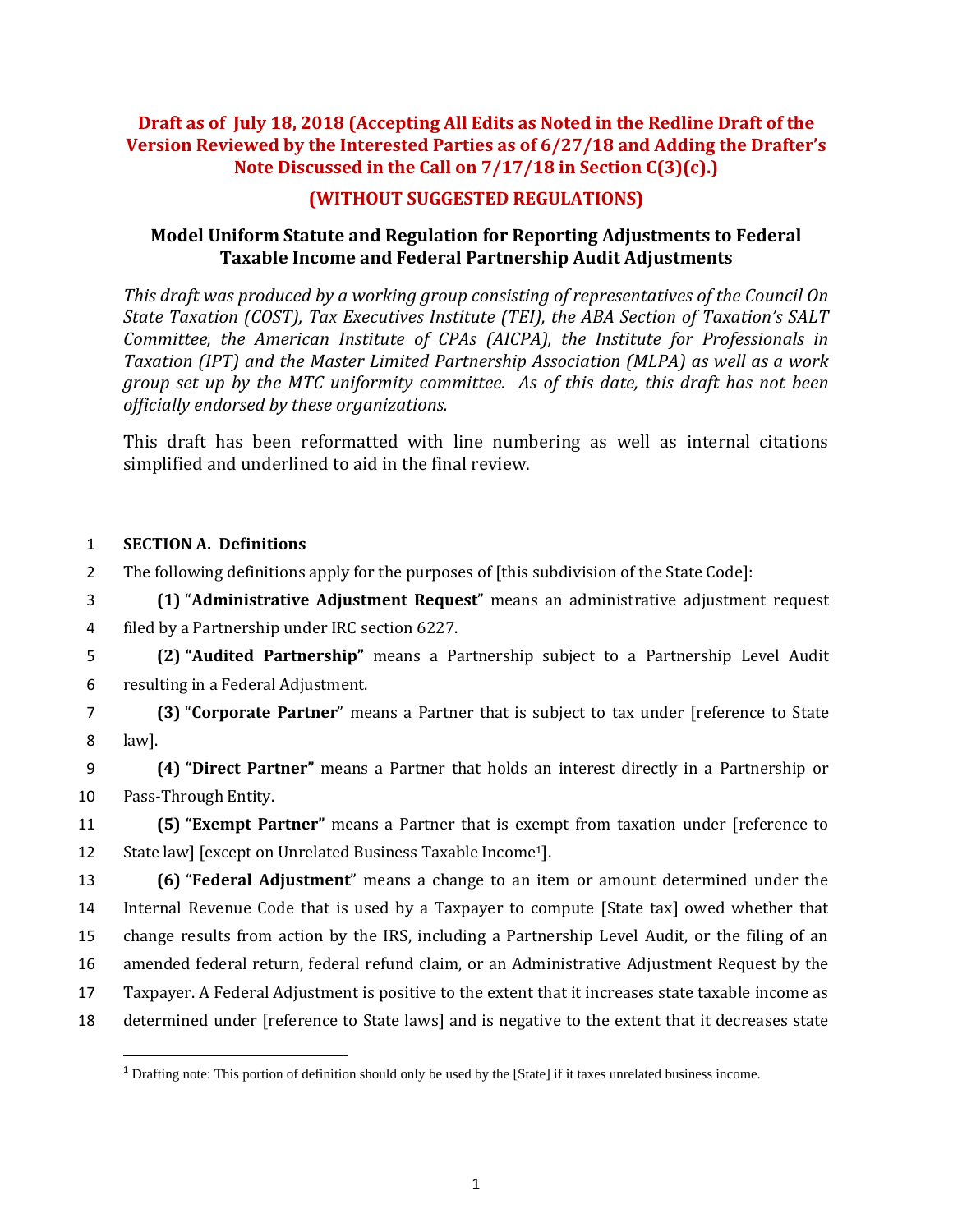## **Draft as of July 18, 2018 (Accepting All Edits as Noted in the Redline Draft of the Version Reviewed by the Interested Parties as of 6/27/18 and Adding the Drafter's Note Discussed in the Call on 7/17/18 in Section C(3)(c).)**

## **(WITHOUT SUGGESTED REGULATIONS)**

### **Model Uniform Statute and Regulation for Reporting Adjustments to Federal Taxable Income and Federal Partnership Audit Adjustments**

*This draft was produced by a working group consisting of representatives of the Council On State Taxation (COST), Tax Executives Institute (TEI), the ABA Section of Taxation's SALT Committee, the American Institute of CPAs (AICPA), the Institute for Professionals in Taxation (IPT) and the Master Limited Partnership Association (MLPA) as well as a work group set up by the MTC uniformity committee. As of this date, this draft has not been officially endorsed by these organizations.*

This draft has been reformatted with line numbering as well as internal citations simplified and underlined to aid in the final review.

### 1 **SECTION A. Definitions**

 $\overline{\phantom{a}}$ 

2 The following definitions apply for the purposes of [this subdivision of the State Code]:

3 **(1)** "**Administrative Adjustment Request**" means an administrative adjustment request 4 filed by a Partnership under IRC section 6227.

5 **(2) "Audited Partnership"** means a Partnership subject to a Partnership Level Audit 6 resulting in a Federal Adjustment.

7 **(3)** "**Corporate Partner**" means a Partner that is subject to tax under [reference to State 8 law].

9 **(4) "Direct Partner"** means a Partner that holds an interest directly in a Partnership or 10 Pass-Through Entity.

11 **(5) "Exempt Partner"** means a Partner that is exempt from taxation under [reference to 12 State law] [except on Unrelated Business Taxable Income<sup>1</sup>].

 **(6)** "**Federal Adjustment**" means a change to an item or amount determined under the Internal Revenue Code that is used by a Taxpayer to compute [State tax] owed whether that change results from action by the IRS, including a Partnership Level Audit, or the filing of an amended federal return, federal refund claim, or an Administrative Adjustment Request by the Taxpayer. A Federal Adjustment is positive to the extent that it increases state taxable income as determined under [reference to State laws] and is negative to the extent that it decreases state

<sup>1</sup> Drafting note: This portion of definition should only be used by the [State] if it taxes unrelated business income.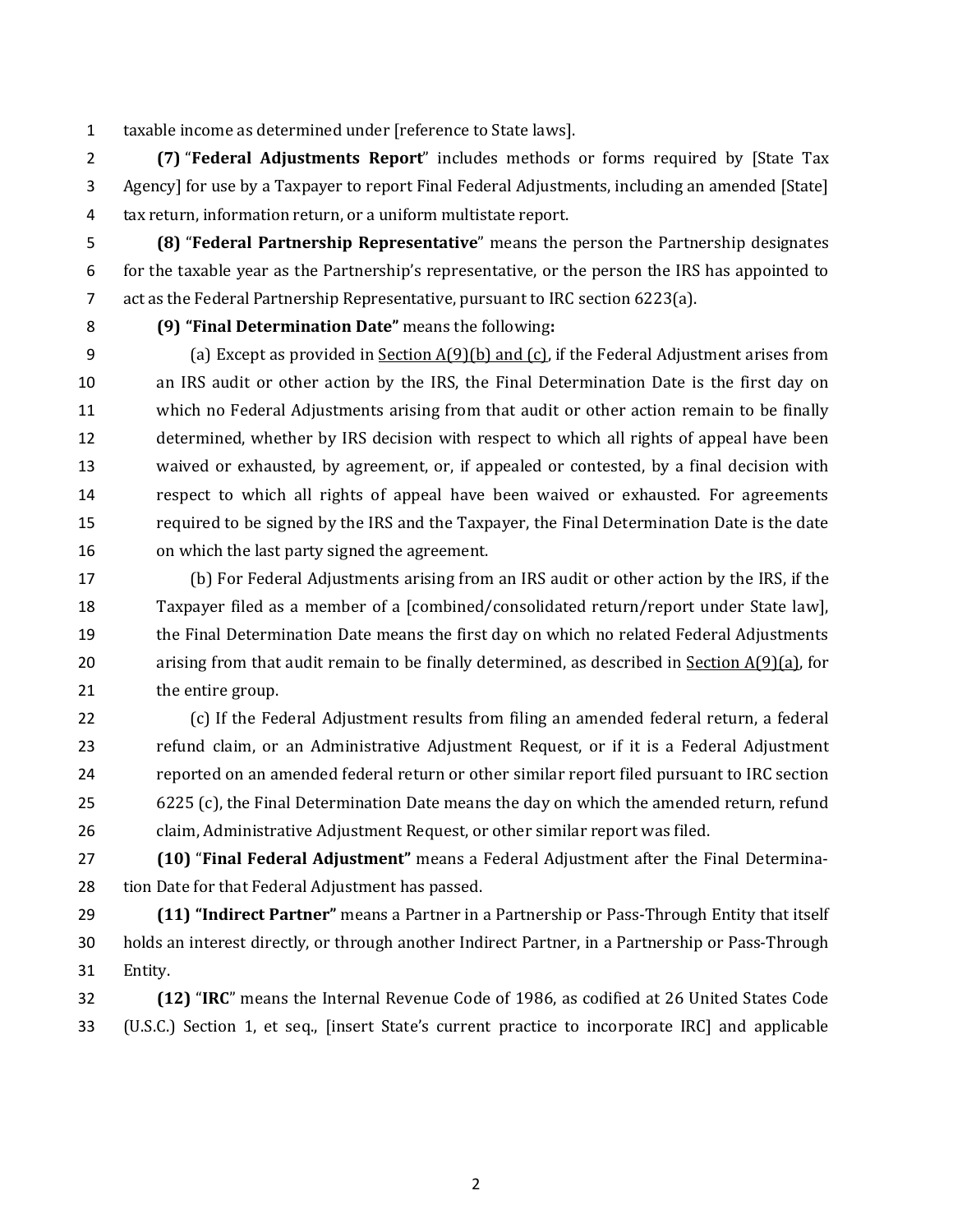taxable income as determined under [reference to State laws].

 **(7)** "**Federal Adjustments Report**" includes methods or forms required by [State Tax Agency] for use by a Taxpayer to report Final Federal Adjustments, including an amended [State] tax return, information return, or a uniform multistate report.

 **(8)** "**Federal Partnership Representative**" means the person the Partnership designates for the taxable year as the Partnership's representative, or the person the IRS has appointed to act as the Federal Partnership Representative, pursuant to IRC section 6223(a).

#### **(9) "Final Determination Date"** means the following**:**

9 (a) Except as provided in Section  $A(9)(b)$  and (c), if the Federal Adjustment arises from an IRS audit or other action by the IRS, the Final Determination Date is the first day on which no Federal Adjustments arising from that audit or other action remain to be finally determined, whether by IRS decision with respect to which all rights of appeal have been waived or exhausted, by agreement, or, if appealed or contested, by a final decision with respect to which all rights of appeal have been waived or exhausted. For agreements required to be signed by the IRS and the Taxpayer, the Final Determination Date is the date on which the last party signed the agreement.

 (b) For Federal Adjustments arising from an IRS audit or other action by the IRS, if the Taxpayer filed as a member of a [combined/consolidated return/report under State law], the Final Determination Date means the first day on which no related Federal Adjustments 20 arising from that audit remain to be finally determined, as described in Section  $A(9)(a)$ , for 21 the entire group.

 (c) If the Federal Adjustment results from filing an amended federal return, a federal refund claim, or an Administrative Adjustment Request, or if it is a Federal Adjustment reported on an amended federal return or other similar report filed pursuant to IRC section 6225 (c), the Final Determination Date means the day on which the amended return, refund claim, Administrative Adjustment Request, or other similar report was filed.

 **(10)** "**Final Federal Adjustment"** means a Federal Adjustment after the Final Determina-tion Date for that Federal Adjustment has passed.

 **(11) "Indirect Partner"** means a Partner in a Partnership or Pass-Through Entity that itself holds an interest directly, or through another Indirect Partner, in a Partnership or Pass-Through Entity.

 **(12)** "**IRC**" means the Internal Revenue Code of 1986, as codified at 26 United States Code (U.S.C.) Section 1, et seq., [insert State's current practice to incorporate IRC] and applicable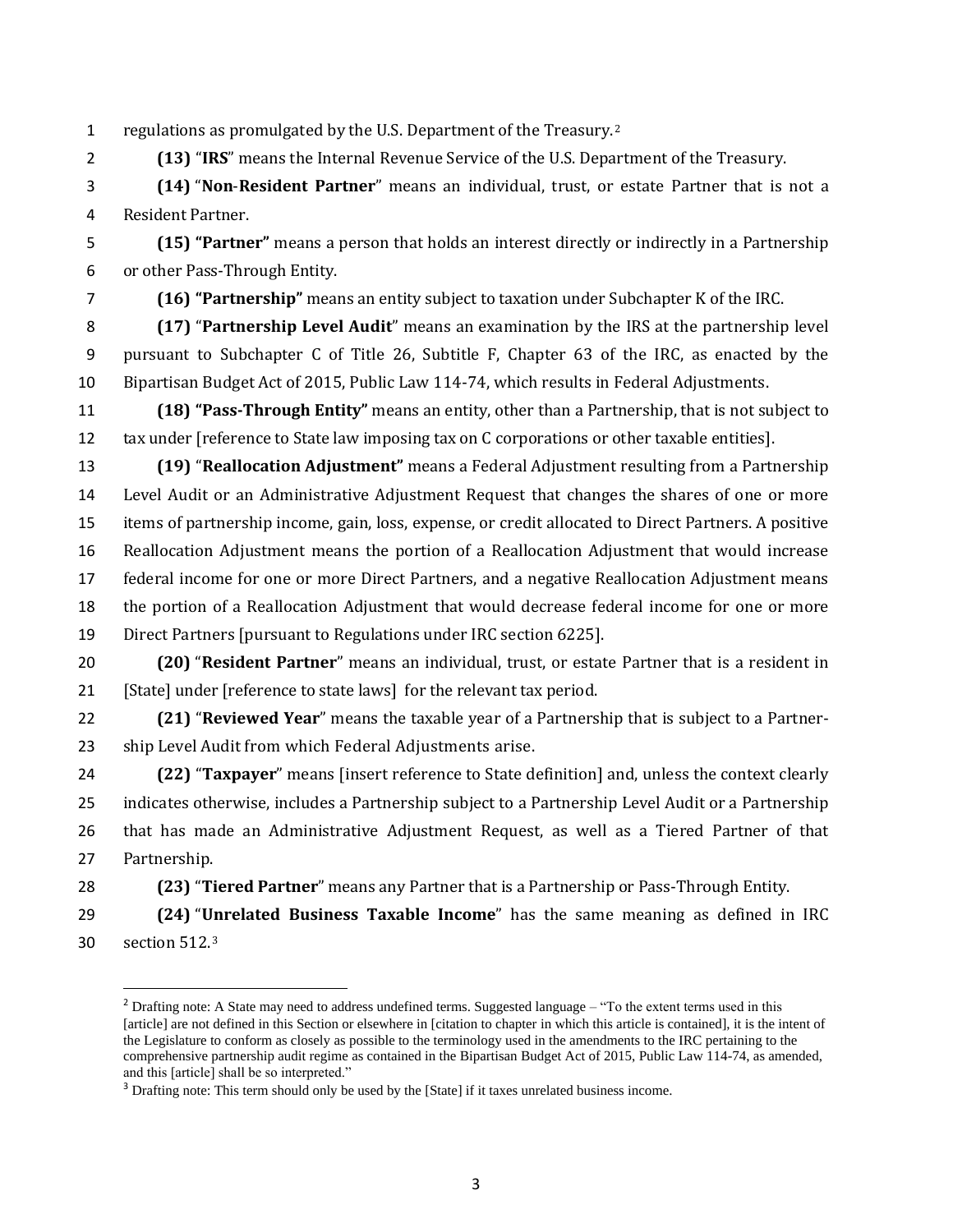1 regulations as promulgated by the U.S. Department of the Treasury.<sup>2</sup>

**(13)** "**IRS**" means the Internal Revenue Service of the U.S. Department of the Treasury.

 **(14)** "**Non**-**Resident Partner**" means an individual, trust, or estate Partner that is not a Resident Partner.

 **(15) "Partner"** means a person that holds an interest directly or indirectly in a Partnership or other Pass-Through Entity.

**(16) "Partnership"** means an entity subject to taxation under Subchapter K of the IRC.

 **(17)** "**Partnership Level Audit**" means an examination by the IRS at the partnership level pursuant to Subchapter C of Title 26, Subtitle F, Chapter 63 of the IRC, as enacted by the Bipartisan Budget Act of 2015, Public Law 114-74, which results in Federal Adjustments.

 **(18) "Pass-Through Entity"** means an entity, other than a Partnership, that is not subject to 12 tax under [reference to State law imposing tax on C corporations or other taxable entities].

 **(19)** "**Reallocation Adjustment"** means a Federal Adjustment resulting from a Partnership Level Audit or an Administrative Adjustment Request that changes the shares of one or more items of partnership income, gain, loss, expense, or credit allocated to Direct Partners. A positive Reallocation Adjustment means the portion of a Reallocation Adjustment that would increase federal income for one or more Direct Partners, and a negative Reallocation Adjustment means the portion of a Reallocation Adjustment that would decrease federal income for one or more Direct Partners [pursuant to Regulations under IRC section 6225].

 **(20)** "**Resident Partner**" means an individual, trust, or estate Partner that is a resident in [State] under [reference to state laws] for the relevant tax period.

 **(21)** "**Reviewed Year**" means the taxable year of a Partnership that is subject to a Partner-ship Level Audit from which Federal Adjustments arise.

 **(22)** "**Taxpayer**" means [insert reference to State definition] and, unless the context clearly indicates otherwise, includes a Partnership subject to a Partnership Level Audit or a Partnership that has made an Administrative Adjustment Request, as well as a Tiered Partner of that Partnership.

**(23)** "**Tiered Partner**" means any Partner that is a Partnership or Pass-Through Entity.

 **(24)** "**Unrelated Business Taxable Income**" has the same meaning as defined in IRC 30 section  $512.3$ 

l

<sup>&</sup>lt;sup>2</sup> Drafting note: A State may need to address undefined terms. Suggested language – "To the extent terms used in this [article] are not defined in this Section or elsewhere in [citation to chapter in which this article is contained], it is the intent of the Legislature to conform as closely as possible to the terminology used in the amendments to the IRC pertaining to the comprehensive partnership audit regime as contained in the Bipartisan Budget Act of 2015, Public Law 114-74, as amended, and this [article] shall be so interpreted."

<sup>&</sup>lt;sup>3</sup> Drafting note: This term should only be used by the [State] if it taxes unrelated business income.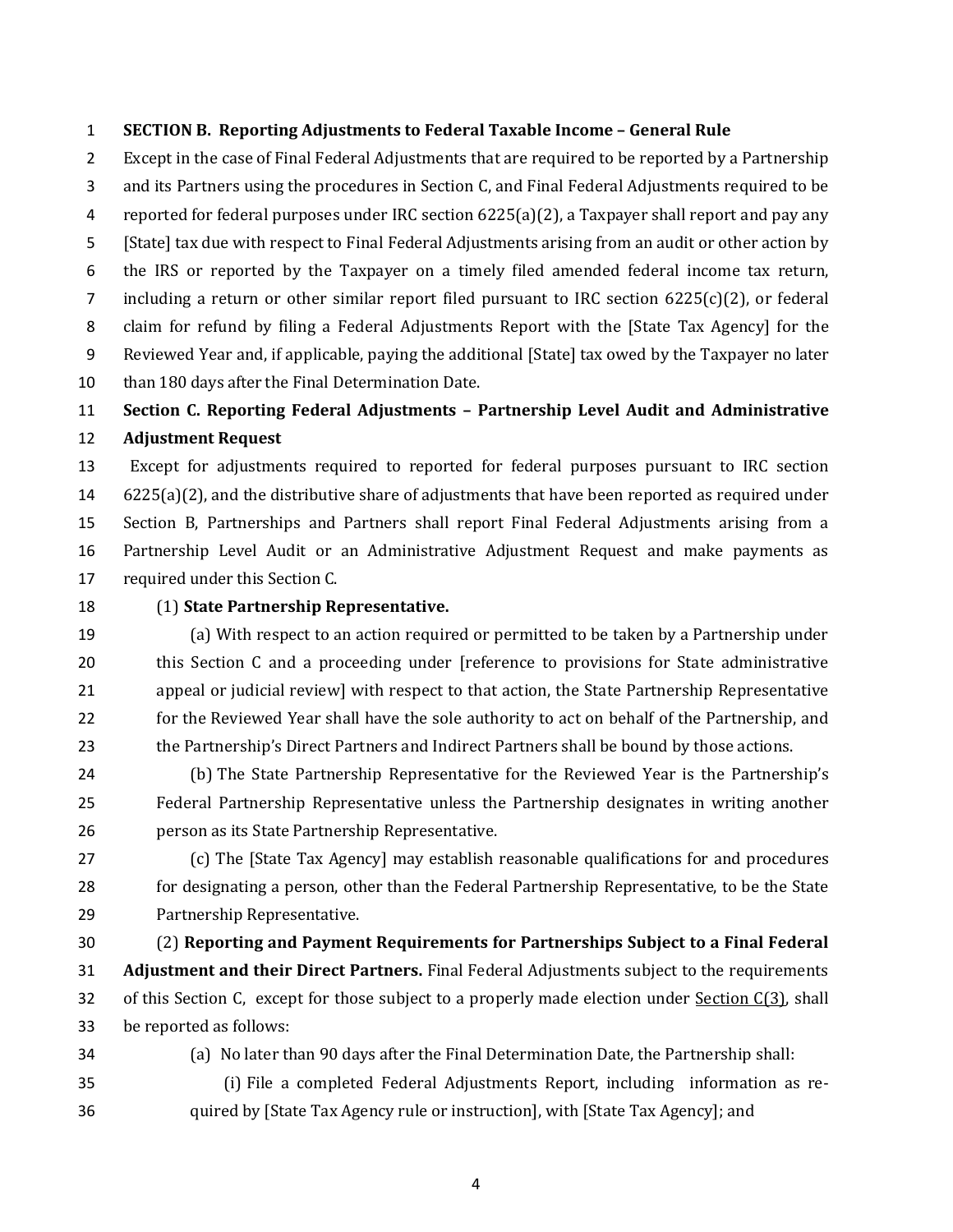#### **SECTION B. Reporting Adjustments to Federal Taxable Income – General Rule**

 Except in the case of Final Federal Adjustments that are required to be reported by a Partnership and its Partners using the procedures in Section C, and Final Federal Adjustments required to be reported for federal purposes under IRC section 6225(a)(2), a Taxpayer shall report and pay any [State] tax due with respect to Final Federal Adjustments arising from an audit or other action by the IRS or reported by the Taxpayer on a timely filed amended federal income tax return, 7 including a return or other similar report filed pursuant to IRC section 6225(c)(2), or federal claim for refund by filing a Federal Adjustments Report with the [State Tax Agency] for the Reviewed Year and, if applicable, paying the additional [State] tax owed by the Taxpayer no later than 180 days after the Final Determination Date.

# **Section C. Reporting Federal Adjustments – Partnership Level Audit and Administrative Adjustment Request**

 Except for adjustments required to reported for federal purposes pursuant to IRC section 6225(a)(2), and the distributive share of adjustments that have been reported as required under Section B, Partnerships and Partners shall report Final Federal Adjustments arising from a Partnership Level Audit or an Administrative Adjustment Request and make payments as required under this Section C.

#### (1) **State Partnership Representative.**

 (a) With respect to an action required or permitted to be taken by a Partnership under this Section C and a proceeding under [reference to provisions for State administrative appeal or judicial review] with respect to that action, the State Partnership Representative for the Reviewed Year shall have the sole authority to act on behalf of the Partnership, and the Partnership's Direct Partners and Indirect Partners shall be bound by those actions.

 (b) The State Partnership Representative for the Reviewed Year is the Partnership's Federal Partnership Representative unless the Partnership designates in writing another person as its State Partnership Representative.

 (c) The [State Tax Agency] may establish reasonable qualifications for and procedures for designating a person, other than the Federal Partnership Representative, to be the State Partnership Representative.

 (2) **Reporting and Payment Requirements for Partnerships Subject to a Final Federal Adjustment and their Direct Partners.** Final Federal Adjustments subject to the requirements 32 of this Section C, except for those subject to a properly made election under Section C(3), shall be reported as follows:

(a) No later than 90 days after the Final Determination Date, the Partnership shall:

 (i) File a completed Federal Adjustments Report, including information as re-quired by [State Tax Agency rule or instruction], with [State Tax Agency]; and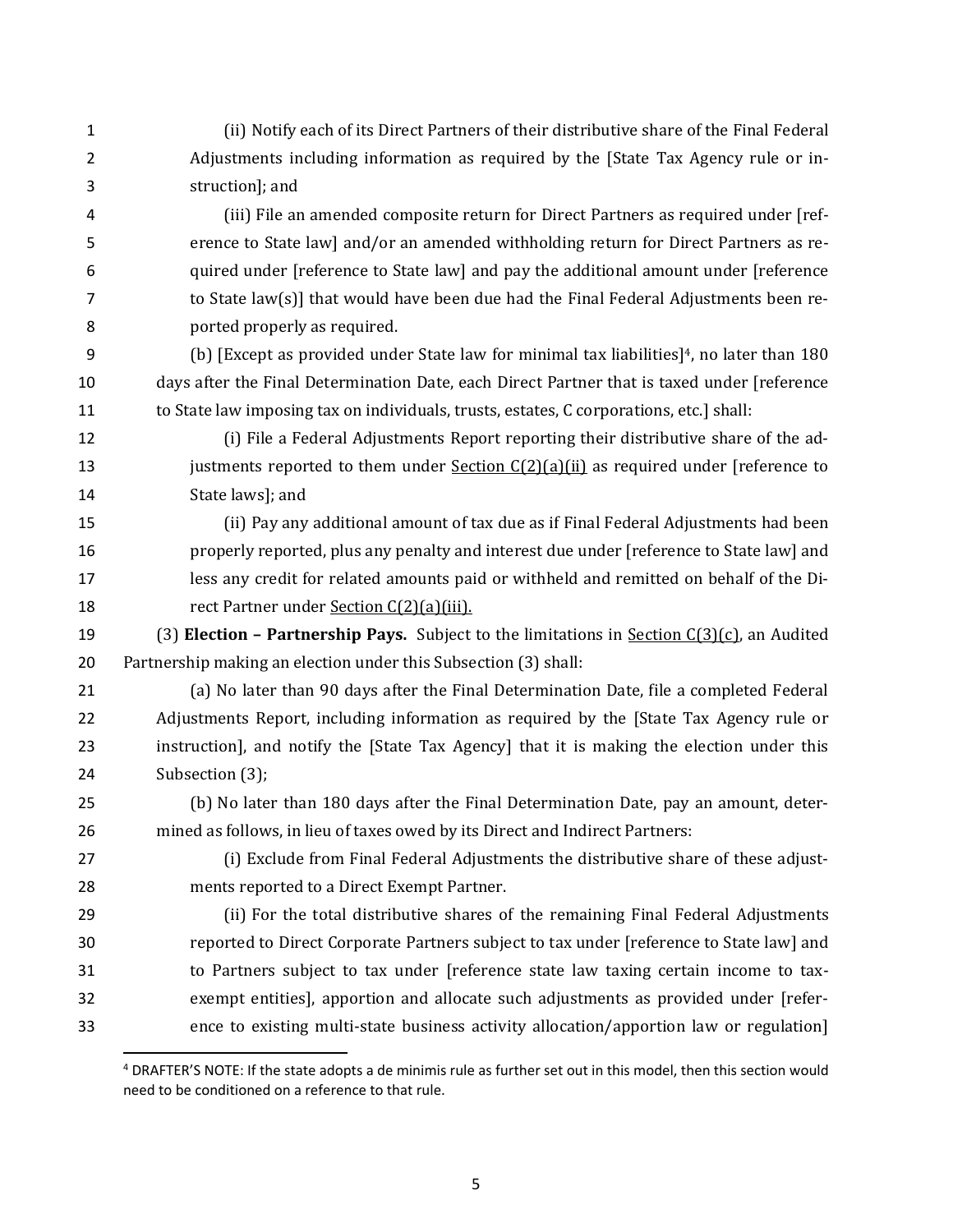(ii) Notify each of its Direct Partners of their distributive share of the Final Federal Adjustments including information as required by the [State Tax Agency rule or in- struction]; and (iii) File an amended composite return for Direct Partners as required under [ref- erence to State law] and/or an amended withholding return for Direct Partners as re- quired under [reference to State law] and pay the additional amount under [reference 7 to State law(s)] that would have been due had the Final Federal Adjustments been re- ported properly as required. 9 (b) [Except as provided under State law for minimal tax liabilities]<sup>4</sup>, no later than 180 days after the Final Determination Date, each Direct Partner that is taxed under [reference 11 to State law imposing tax on individuals, trusts, estates, C corporations, etc.] shall: (i) File a Federal Adjustments Report reporting their distributive share of the ad-13 justments reported to them under **Section C(2)(a)(ii)** as required under [reference to State laws]; and (ii) Pay any additional amount of tax due as if Final Federal Adjustments had been properly reported, plus any penalty and interest due under [reference to State law] and less any credit for related amounts paid or withheld and remitted on behalf of the Di-18 rect Partner under <u>Section C(2)(a)(iii).</u> (3) **Election – Partnership Pays.** Subject to the limitations in Section C(3)(c), an Audited Partnership making an election under this Subsection (3) shall: (a) No later than 90 days after the Final Determination Date, file a completed Federal Adjustments Report, including information as required by the [State Tax Agency rule or instruction], and notify the [State Tax Agency] that it is making the election under this Subsection (3); (b) No later than 180 days after the Final Determination Date, pay an amount, deter- mined as follows, in lieu of taxes owed by its Direct and Indirect Partners: (i) Exclude from Final Federal Adjustments the distributive share of these adjust- ments reported to a Direct Exempt Partner. (ii) For the total distributive shares of the remaining Final Federal Adjustments reported to Direct Corporate Partners subject to tax under [reference to State law] and to Partners subject to tax under [reference state law taxing certain income to tax- exempt entities], apportion and allocate such adjustments as provided under [refer-ence to existing multi-state business activity allocation/apportion law or regulation]

 $\overline{\phantom{a}}$ 

 DRAFTER'S NOTE: If the state adopts a de minimis rule as further set out in this model, then this section would need to be conditioned on a reference to that rule.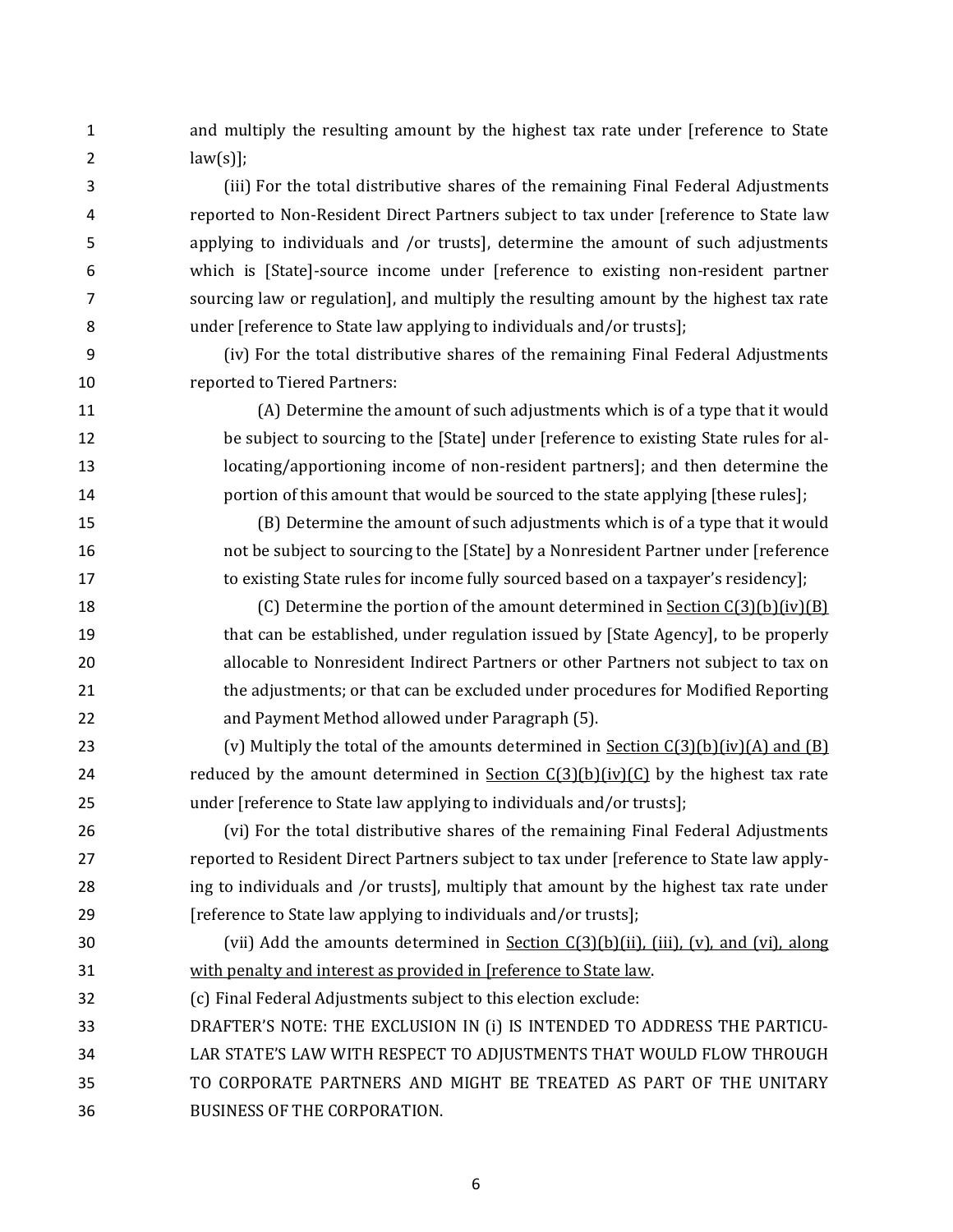and multiply the resulting amount by the highest tax rate under [reference to State 2  $law(s)$ ;

 (iii) For the total distributive shares of the remaining Final Federal Adjustments reported to Non-Resident Direct Partners subject to tax under [reference to State law applying to individuals and /or trusts], determine the amount of such adjustments which is [State]-source income under [reference to existing non-resident partner sourcing law or regulation], and multiply the resulting amount by the highest tax rate under [reference to State law applying to individuals and/or trusts];

 (iv) For the total distributive shares of the remaining Final Federal Adjustments reported to Tiered Partners:

 (A) Determine the amount of such adjustments which is of a type that it would be subject to sourcing to the [State] under [reference to existing State rules for al- locating/apportioning income of non-resident partners]; and then determine the **portion of this amount that would be sourced to the state applying [these rules];** 

 (B) Determine the amount of such adjustments which is of a type that it would not be subject to sourcing to the [State] by a Nonresident Partner under [reference 17 to existing State rules for income fully sourced based on a taxpayer's residency];

18 (C) Determine the portion of the amount determined in Section C(3)(b)(iv)(B) that can be established, under regulation issued by [State Agency], to be properly allocable to Nonresident Indirect Partners or other Partners not subject to tax on the adjustments; or that can be excluded under procedures for Modified Reporting and Payment Method allowed under Paragraph (5).

23 (v) Multiply the total of the amounts determined in Section  $C(3)(b)(iv)(A)$  and  $(B)$ 24 reduced by the amount determined in Section  $C(3)(b)(iv)(C)$  by the highest tax rate under [reference to State law applying to individuals and/or trusts];

 (vi) For the total distributive shares of the remaining Final Federal Adjustments reported to Resident Direct Partners subject to tax under [reference to State law apply- ing to individuals and /or trusts], multiply that amount by the highest tax rate under [reference to State law applying to individuals and/or trusts];

 (vii) Add the amounts determined in Section C(3)(b)(ii), (iii), (v), and (vi), along with penalty and interest as provided in [reference to State law.

- (c) Final Federal Adjustments subject to this election exclude:
- DRAFTER'S NOTE: THE EXCLUSION IN (i) IS INTENDED TO ADDRESS THE PARTICU- LAR STATE'S LAW WITH RESPECT TO ADJUSTMENTS THAT WOULD FLOW THROUGH TO CORPORATE PARTNERS AND MIGHT BE TREATED AS PART OF THE UNITARY BUSINESS OF THE CORPORATION.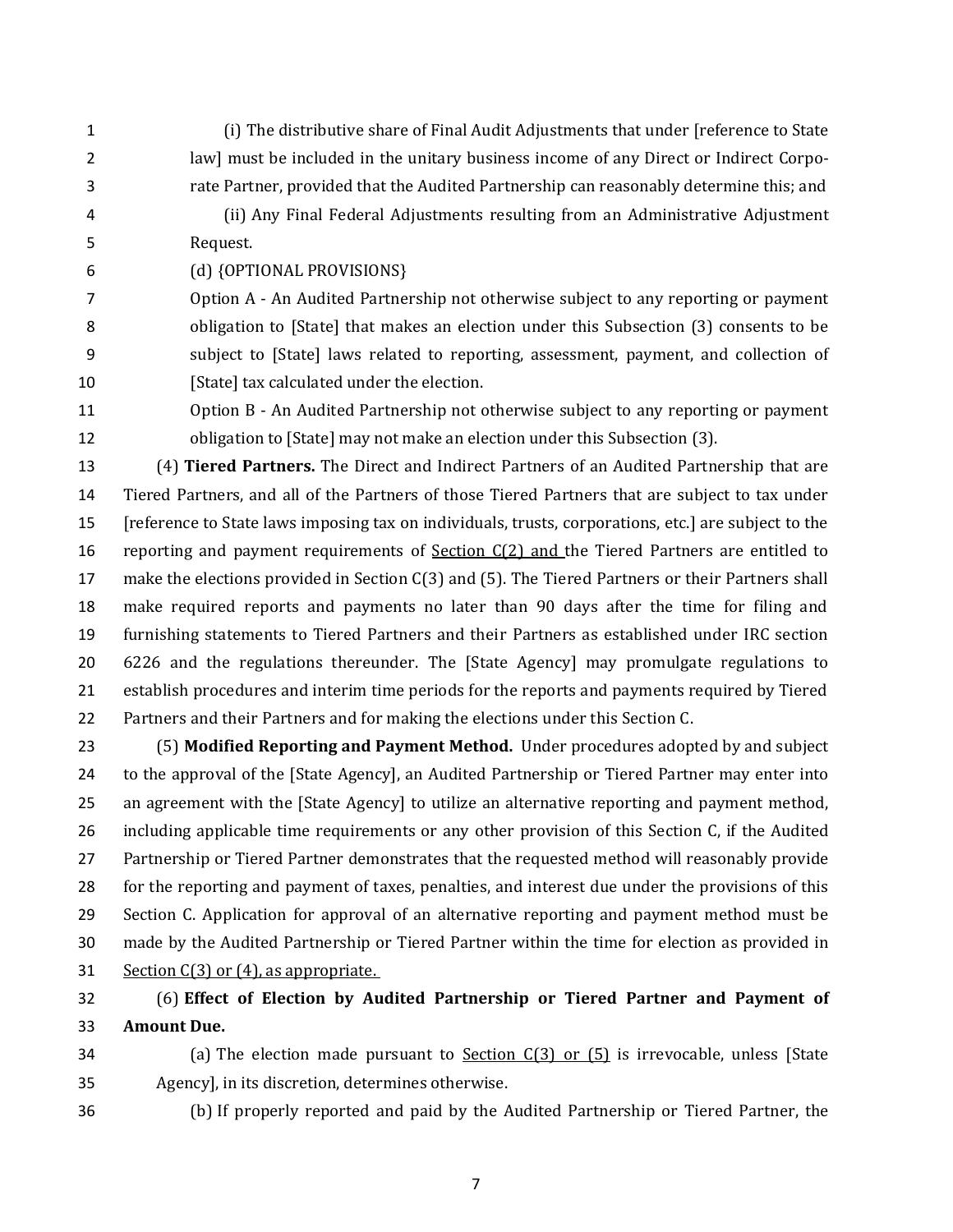- (i) The distributive share of Final Audit Adjustments that under [reference to State law] must be included in the unitary business income of any Direct or Indirect Corpo-rate Partner, provided that the Audited Partnership can reasonably determine this; and
- (ii) Any Final Federal Adjustments resulting from an Administrative Adjustment Request.
- (d) {OPTIONAL PROVISIONS}

 Option A - An Audited Partnership not otherwise subject to any reporting or payment obligation to [State] that makes an election under this Subsection (3) consents to be subject to [State] laws related to reporting, assessment, payment, and collection of 10 [State] tax calculated under the election.

 Option B - An Audited Partnership not otherwise subject to any reporting or payment obligation to [State] may not make an election under this Subsection (3).

 (4) **Tiered Partners.** The Direct and Indirect Partners of an Audited Partnership that are Tiered Partners, and all of the Partners of those Tiered Partners that are subject to tax under [reference to State laws imposing tax on individuals, trusts, corporations, etc.] are subject to the 16 reporting and payment requirements of **Section C(2) and the Tiered Partners are entitled to**  make the elections provided in Section C(3) and (5). The Tiered Partners or their Partners shall make required reports and payments no later than 90 days after the time for filing and furnishing statements to Tiered Partners and their Partners as established under IRC section 6226 and the regulations thereunder. The [State Agency] may promulgate regulations to establish procedures and interim time periods for the reports and payments required by Tiered Partners and their Partners and for making the elections under this Section C.

 (5) **Modified Reporting and Payment Method.** Under procedures adopted by and subject to the approval of the [State Agency], an Audited Partnership or Tiered Partner may enter into an agreement with the [State Agency] to utilize an alternative reporting and payment method, including applicable time requirements or any other provision of this Section C, if the Audited Partnership or Tiered Partner demonstrates that the requested method will reasonably provide for the reporting and payment of taxes, penalties, and interest due under the provisions of this Section C. Application for approval of an alternative reporting and payment method must be made by the Audited Partnership or Tiered Partner within the time for election as provided in 31 Section C(3) or (4), as appropriate.

## (6) **Effect of Election by Audited Partnership or Tiered Partner and Payment of Amount Due.**

- 34 (a) The election made pursuant to Section C(3) or (5) is irrevocable, unless [State Agency], in its discretion, determines otherwise.
- 

(b) If properly reported and paid by the Audited Partnership or Tiered Partner, the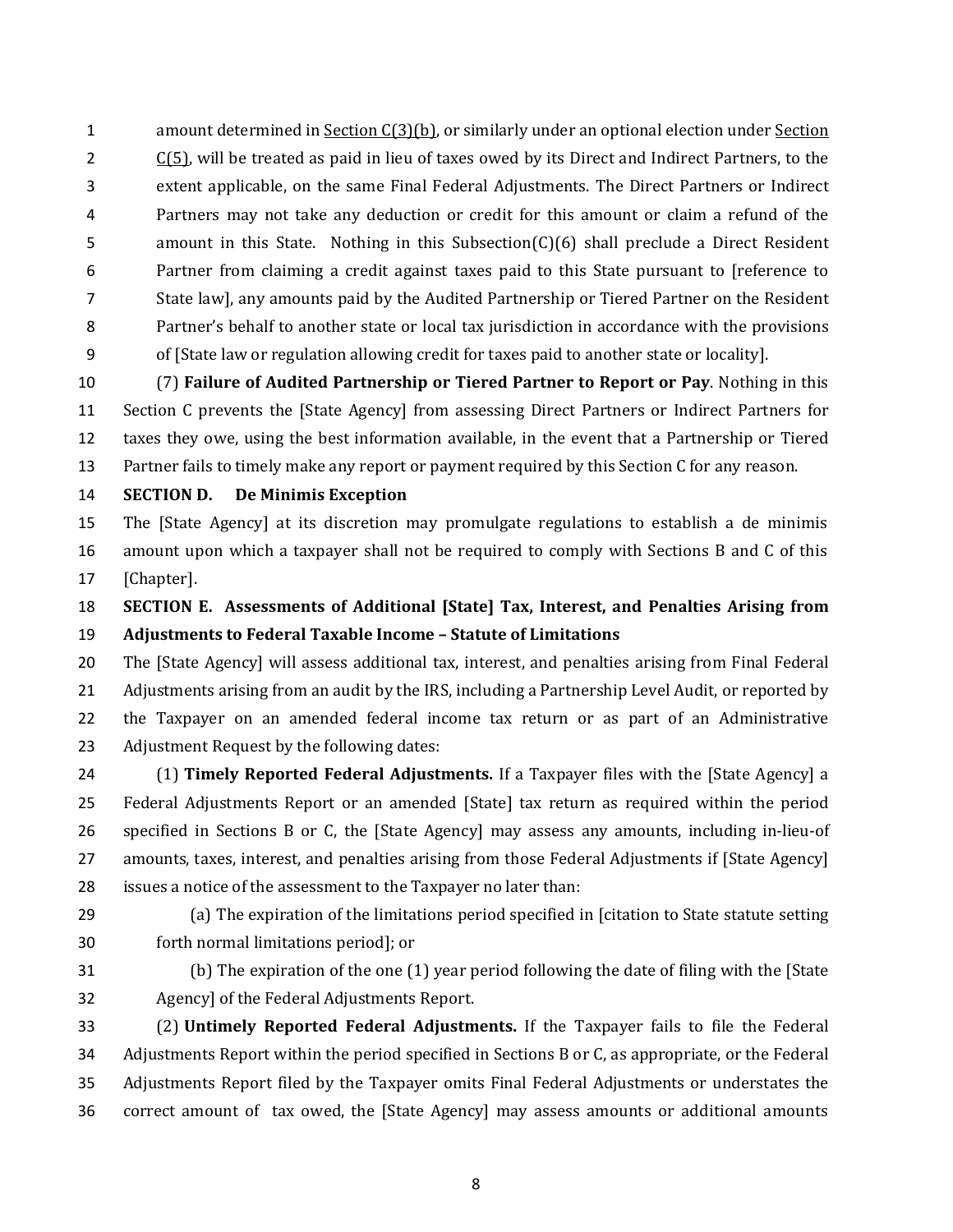1 amount determined in <u>Section C(3)(b)</u>, or similarly under an optional election under Section  $2 \cdot C(5)$ , will be treated as paid in lieu of taxes owed by its Direct and Indirect Partners, to the extent applicable, on the same Final Federal Adjustments. The Direct Partners or Indirect Partners may not take any deduction or credit for this amount or claim a refund of the 5 amount in this State. Nothing in this Subsection(C)(6) shall preclude a Direct Resident Partner from claiming a credit against taxes paid to this State pursuant to [reference to State law], any amounts paid by the Audited Partnership or Tiered Partner on the Resident Partner's behalf to another state or local tax jurisdiction in accordance with the provisions of [State law or regulation allowing credit for taxes paid to another state or locality].

 (7) **Failure of Audited Partnership or Tiered Partner to Report or Pay**. Nothing in this Section C prevents the [State Agency] from assessing Direct Partners or Indirect Partners for taxes they owe, using the best information available, in the event that a Partnership or Tiered Partner fails to timely make any report or payment required by this Section C for any reason.

#### **SECTION D. De Minimis Exception**

 The [State Agency] at its discretion may promulgate regulations to establish a de minimis amount upon which a taxpayer shall not be required to comply with Sections B and C of this [Chapter].

 **SECTION E. Assessments of Additional [State] Tax, Interest, and Penalties Arising from Adjustments to Federal Taxable Income – Statute of Limitations**

 The [State Agency] will assess additional tax, interest, and penalties arising from Final Federal Adjustments arising from an audit by the IRS, including a Partnership Level Audit, or reported by the Taxpayer on an amended federal income tax return or as part of an Administrative Adjustment Request by the following dates:

 (1) **Timely Reported Federal Adjustments.** If a Taxpayer files with the [State Agency] a Federal Adjustments Report or an amended [State] tax return as required within the period specified in Sections B or C, the [State Agency] may assess any amounts, including in-lieu-of amounts, taxes, interest, and penalties arising from those Federal Adjustments if [State Agency] issues a notice of the assessment to the Taxpayer no later than:

 (a) The expiration of the limitations period specified in [citation to State statute setting forth normal limitations period]; or

 (b) The expiration of the one (1) year period following the date of filing with the [State Agency] of the Federal Adjustments Report.

 (2) **Untimely Reported Federal Adjustments.** If the Taxpayer fails to file the Federal Adjustments Report within the period specified in Sections B or C, as appropriate, or the Federal Adjustments Report filed by the Taxpayer omits Final Federal Adjustments or understates the correct amount of tax owed, the [State Agency] may assess amounts or additional amounts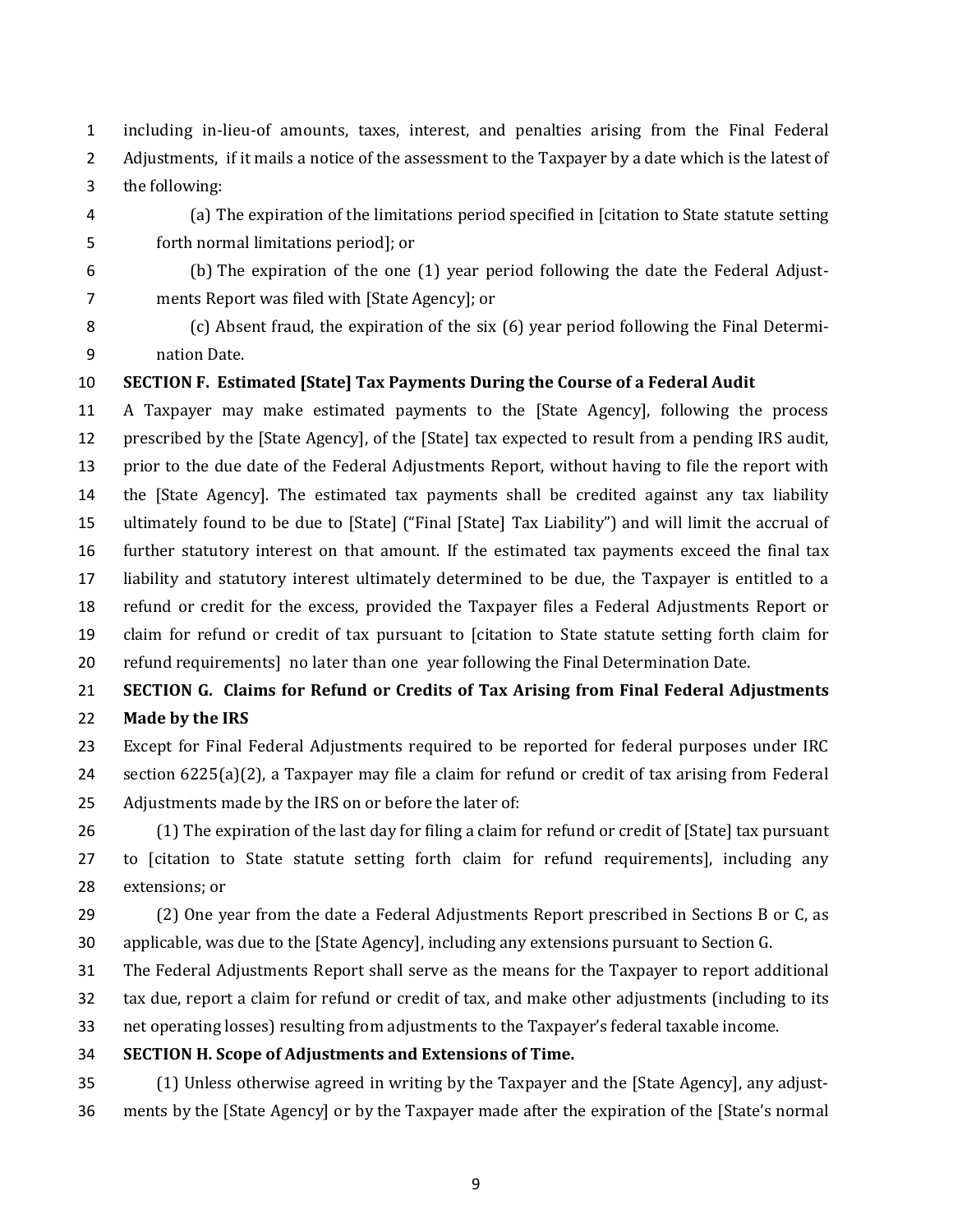including in-lieu-of amounts, taxes, interest, and penalties arising from the Final Federal Adjustments, if it mails a notice of the assessment to the Taxpayer by a date which is the latest of the following:

 (a) The expiration of the limitations period specified in [citation to State statute setting forth normal limitations period]; or

 (b) The expiration of the one (1) year period following the date the Federal Adjust-ments Report was filed with [State Agency]; or

 (c) Absent fraud, the expiration of the six (6) year period following the Final Determi-nation Date.

#### **SECTION F. Estimated [State] Tax Payments During the Course of a Federal Audit**

 A Taxpayer may make estimated payments to the [State Agency], following the process prescribed by the [State Agency], of the [State] tax expected to result from a pending IRS audit, prior to the due date of the Federal Adjustments Report, without having to file the report with the [State Agency]. The estimated tax payments shall be credited against any tax liability ultimately found to be due to [State] ("Final [State] Tax Liability") and will limit the accrual of further statutory interest on that amount. If the estimated tax payments exceed the final tax liability and statutory interest ultimately determined to be due, the Taxpayer is entitled to a refund or credit for the excess, provided the Taxpayer files a Federal Adjustments Report or claim for refund or credit of tax pursuant to [citation to State statute setting forth claim for refund requirements] no later than one year following the Final Determination Date.

## **SECTION G. Claims for Refund or Credits of Tax Arising from Final Federal Adjustments Made by the IRS**

 Except for Final Federal Adjustments required to be reported for federal purposes under IRC section 6225(a)(2), a Taxpayer may file a claim for refund or credit of tax arising from Federal Adjustments made by the IRS on or before the later of:

 (1) The expiration of the last day for filing a claim for refund or credit of [State] tax pursuant to [citation to State statute setting forth claim for refund requirements], including any extensions; or

 (2) One year from the date a Federal Adjustments Report prescribed in Sections B or C, as applicable, was due to the [State Agency], including any extensions pursuant to Section G.

The Federal Adjustments Report shall serve as the means for the Taxpayer to report additional

tax due, report a claim for refund or credit of tax, and make other adjustments (including to its

net operating losses) resulting from adjustments to the Taxpayer's federal taxable income.

**SECTION H. Scope of Adjustments and Extensions of Time.**

 (1) Unless otherwise agreed in writing by the Taxpayer and the [State Agency], any adjust-ments by the [State Agency] or by the Taxpayer made after the expiration of the [State's normal